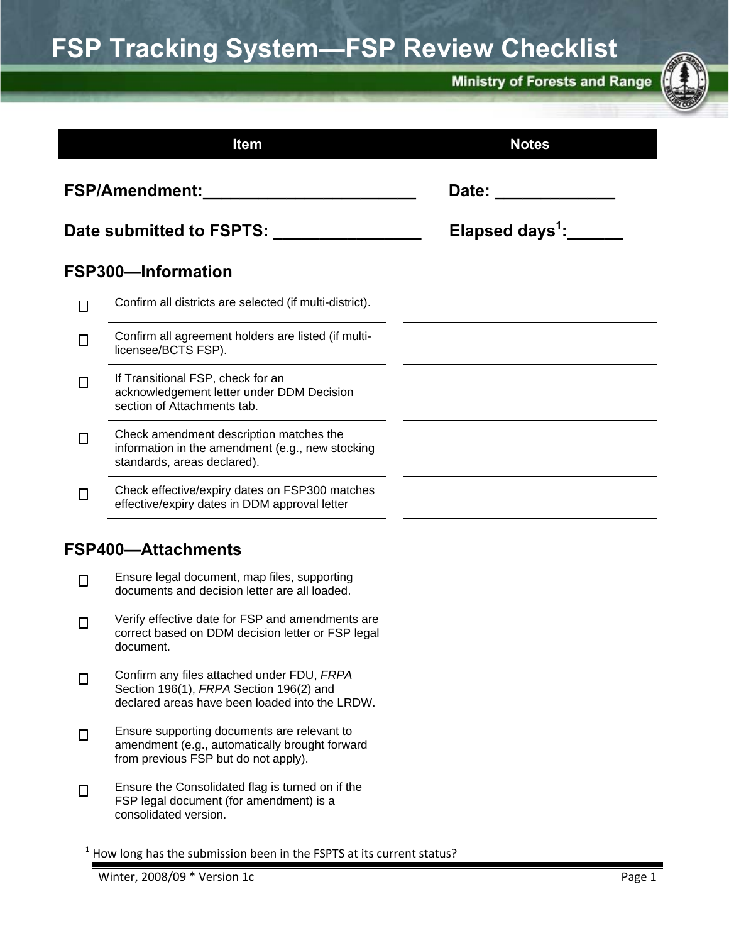# **FSP Tracking System—FSP Review Checklist**

**Ministry of Forests and Range** 



|                          | <b>Item</b>                                                                                                                             | <b>Notes</b>                     |
|--------------------------|-----------------------------------------------------------------------------------------------------------------------------------------|----------------------------------|
| FSP/Amendment:           |                                                                                                                                         | Date: <b>Date</b>                |
| Date submitted to FSPTS: |                                                                                                                                         | Elapsed days <sup>1</sup> :_____ |
|                          | <b>FSP300-Information</b>                                                                                                               |                                  |
| П                        | Confirm all districts are selected (if multi-district).                                                                                 |                                  |
| $\Box$                   | Confirm all agreement holders are listed (if multi-<br>licensee/BCTS FSP).                                                              |                                  |
| $\Box$                   | If Transitional FSP, check for an<br>acknowledgement letter under DDM Decision<br>section of Attachments tab.                           |                                  |
| $\overline{\phantom{a}}$ | Check amendment description matches the<br>information in the amendment (e.g., new stocking<br>standards, areas declared).              |                                  |
| П                        | Check effective/expiry dates on FSP300 matches<br>effective/expiry dates in DDM approval letter                                         |                                  |
|                          | <b>FSP400-Attachments</b>                                                                                                               |                                  |
| П                        | Ensure legal document, map files, supporting<br>documents and decision letter are all loaded.                                           |                                  |
|                          | Verify effective date for FSP and amendments are<br>correct based on DDM decision letter or FSP legal<br>document.                      |                                  |
| П                        | Confirm any files attached under FDU, FRPA<br>Section 196(1), FRPA Section 196(2) and<br>declared areas have been loaded into the LRDW. |                                  |
| $\Box$                   | Ensure supporting documents are relevant to<br>amendment (e.g., automatically brought forward<br>from previous FSP but do not apply).   |                                  |
| $\Box$                   | Ensure the Consolidated flag is turned on if the<br>FSP legal document (for amendment) is a<br>consolidated version.                    |                                  |

Winter, 2008/09 \* Version 1c **Page 1** Page 1